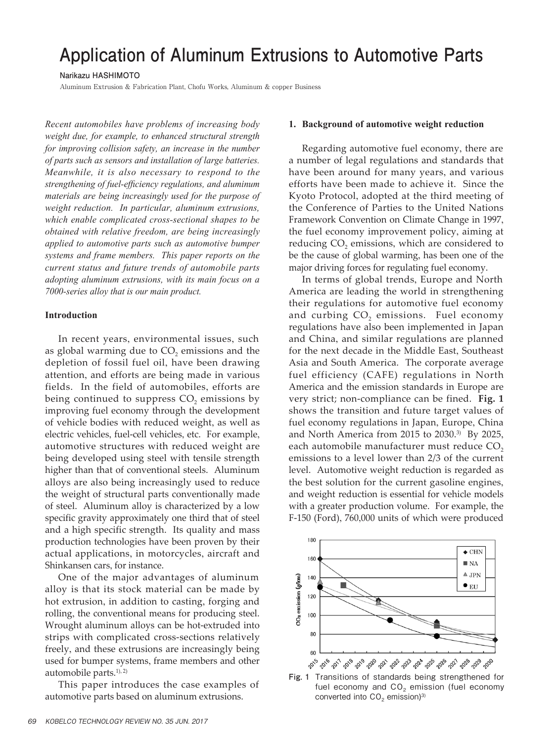# **Application of Aluminum Extrusions to Automotive Parts**

**Narikazu HASHIMOTO**

Aluminum Extrusion & Fabrication Plant, Chofu Works, Aluminum & copper Business

*Recent automobiles have problems of increasing body weight due, for example, to enhanced structural strength for improving collision safety, an increase in the number of parts such as sensors and installation of large batteries. Meanwhile, it is also necessary to respond to the strengthening of fuel-efficiency regulations, and aluminum materials are being increasingly used for the purpose of weight reduction. In particular, aluminum extrusions, which enable complicated cross-sectional shapes to be obtained with relative freedom, are being increasingly applied to automotive parts such as automotive bumper systems and frame members. This paper reports on the current status and future trends of automobile parts adopting aluminum extrusions, with its main focus on a 7000-series alloy that is our main product.*

## **Introduction**

In recent years, environmental issues, such as global warming due to  $CO<sub>2</sub>$  emissions and the depletion of fossil fuel oil, have been drawing attention, and efforts are being made in various fields. In the field of automobiles, efforts are being continued to suppress  $CO$ <sub>2</sub> emissions by improving fuel economy through the development of vehicle bodies with reduced weight, as well as electric vehicles, fuel-cell vehicles, etc. For example, automotive structures with reduced weight are being developed using steel with tensile strength higher than that of conventional steels. Aluminum alloys are also being increasingly used to reduce the weight of structural parts conventionally made of steel. Aluminum alloy is characterized by a low specific gravity approximately one third that of steel and a high specific strength. Its quality and mass production technologies have been proven by their actual applications, in motorcycles, aircraft and Shinkansen cars, for instance.

One of the major advantages of aluminum alloy is that its stock material can be made by hot extrusion, in addition to casting, forging and rolling, the conventional means for producing steel. Wrought aluminum alloys can be hot-extruded into strips with complicated cross-sections relatively freely, and these extrusions are increasingly being used for bumper systems, frame members and other automobile parts. 1), 2)

This paper introduces the case examples of automotive parts based on aluminum extrusions.

## **1. Background of automotive weight reduction**

Regarding automotive fuel economy, there are a number of legal regulations and standards that have been around for many years, and various efforts have been made to achieve it. Since the Kyoto Protocol, adopted at the third meeting of the Conference of Parties to the United Nations Framework Convention on Climate Change in 1997, the fuel economy improvement policy, aiming at reducing CO<sub>2</sub> emissions, which are considered to be the cause of global warming, has been one of the major driving forces for regulating fuel economy.

In terms of global trends, Europe and North America are leading the world in strengthening their regulations for automotive fuel economy and curbing CO<sub>2</sub> emissions. Fuel economy regulations have also been implemented in Japan and China, and similar regulations are planned for the next decade in the Middle East, Southeast Asia and South America. The corporate average fuel efficiency (CAFE) regulations in North America and the emission standards in Europe are very strict; non-compliance can be fined. **Fig. 1** shows the transition and future target values of fuel economy regulations in Japan, Europe, China and North America from 2015 to 2030. 3) By 2025, each automobile manufacturer must reduce CO<sub>2</sub> emissions to a level lower than 2/3 of the current level. Automotive weight reduction is regarded as the best solution for the current gasoline engines, and weight reduction is essential for vehicle models with a greater production volume. For example, the F-150 (Ford), 760,000 units of which were produced



**Fig. 1** Transitions of standards being strengthened for fuel economy and  $CO<sub>2</sub>$  emission (fuel economy converted into  $CO<sub>2</sub>$  emission)<sup>3)</sup>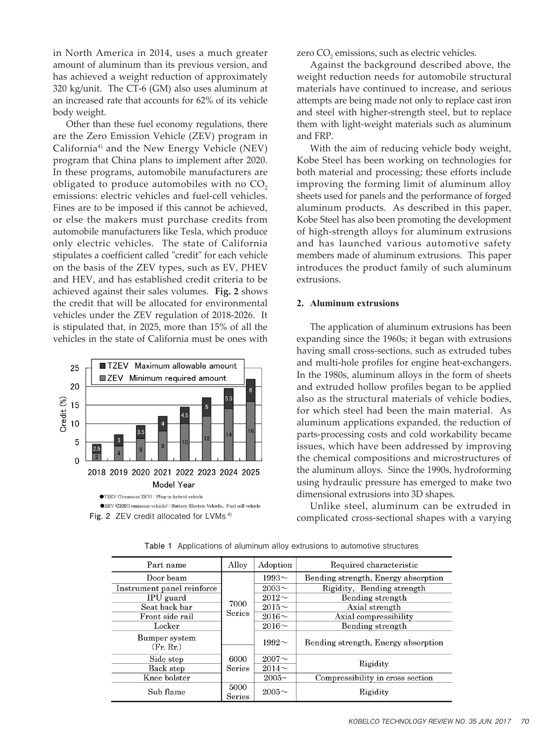in North America in 2014, uses a much greater amount of aluminum than its previous version, and has achieved a weight reduction of approximately 320 kg/unit. The CT-6 (GM) also uses aluminum at an increased rate that accounts for 62% of its vehicle body weight.

Other than these fuel economy regulations, there are the Zero Emission Vehicle (ZEV) program in California4) and the New Energy Vehicle (NEV) program that China plans to implement after 2020. In these programs, automobile manufacturers are obligated to produce automobiles with no CO<sub>2</sub> emissions: electric vehicles and fuel-cell vehicles. Fines are to be imposed if this cannot be achieved, or else the makers must purchase credits from automobile manufacturers like Tesla, which produce only electric vehicles. The state of California stipulates a coefficient called "credit" for each vehicle on the basis of the ZEV types, such as EV, PHEV and HEV, and has established credit criteria to be achieved against their sales volumes. **Fig. 2** shows the credit that will be allocated for environmental vehicles under the ZEV regulation of 2018-2026. It is stipulated that, in 2025, more than 15% of all the vehicles in the state of California must be ones with



zero CO<sub>2</sub> emissions, such as electric vehicles.

Against the background described above, the weight reduction needs for automobile structural materials have continued to increase, and serious attempts are being made not only to replace cast iron and steel with higher-strength steel, but to replace them with light-weight materials such as aluminum and FRP.

With the aim of reducing vehicle body weight, Kobe Steel has been working on technologies for both material and processing; these efforts include improving the forming limit of aluminum alloy sheets used for panels and the performance of forged aluminum products. As described in this paper, Kobe Steel has also been promoting the development of high-strength alloys for aluminum extrusions and has launched various automotive safety members made of aluminum extrusions. This paper introduces the product family of such aluminum extrusions.

#### **2. Aluminum extrusions**

The application of aluminum extrusions has been expanding since the 1960s; it began with extrusions having small cross-sections, such as extruded tubes and multi-hole profiles for engine heat-exchangers. In the 1980s, aluminum alloys in the form of sheets and extruded hollow profiles began to be applied also as the structural materials of vehicle bodies, for which steel had been the main material. As aluminum applications expanded, the reduction of parts-processing costs and cold workability became issues, which have been addressed by improving the chemical compositions and microstructures of the aluminum alloys. Since the 1990s, hydroforming using hydraulic pressure has emerged to make two dimensional extrusions into 3D shapes.

Unlike steel, aluminum can be extruded in Fig. 2 ZEV credit allocated for LVMs<sup>4)</sup> complicated cross-sectional shapes with a varying

| Part name                  | Alloy          | Adoption    | Required characteristic             |
|----------------------------|----------------|-------------|-------------------------------------|
| Door beam                  |                | 1993 $\sim$ | Bending strength, Energy absorption |
| Instrument panel reinforce |                | $2003\sim$  | Rigidity, Bending strength          |
| IPU guard                  | 7000<br>Series | $2012\sim$  | Bending strength                    |
| Seat back bar              |                | $2015\sim$  | Axial strength                      |
| Front side rail            |                | $2016 \sim$ | Axial compressibility               |
| $_{\operatorname{Locker}}$ |                | $2016 \sim$ | Bending strength                    |
| Bumper system<br>(Fr. Rr.) |                | 1992 $\sim$ | Bending strength, Energy absorption |
| Side step                  | 6000           | $2007\sim$  |                                     |
| Back step                  | Series         | $2014\sim$  | Rigidity                            |
| Knee bolster               |                | 2005~       | Compressibility in cross section    |
| Sub flame                  | 5000<br>Series | $2005\sim$  | Rigidity                            |

**Table 1** Applications of aluminum alloy extrusions to automotive structures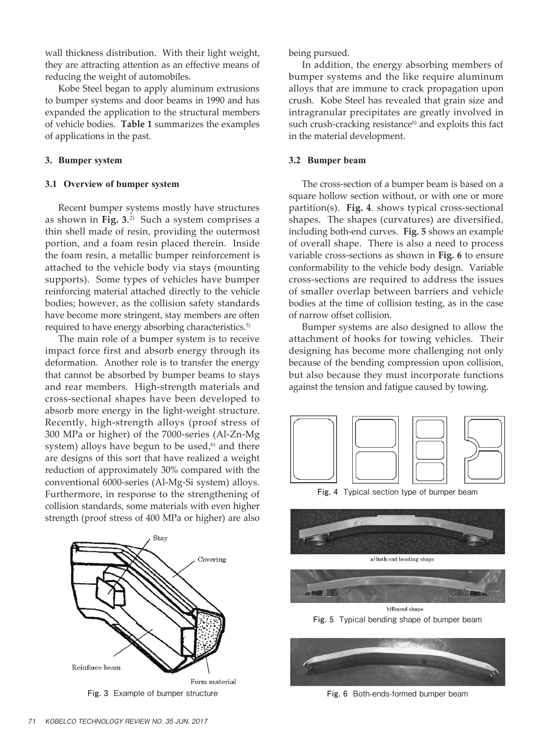wall thickness distribution. With their light weight, they are attracting attention as an effective means of reducing the weight of automobiles.

Kobe Steel began to apply aluminum extrusions to bumper systems and door beams in 1990 and has expanded the application to the structural members of vehicle bodies. **Table 1** summarizes the examples of applications in the past.

#### **3. Bumper system**

#### **3.1 Overview of bumper system**

Recent bumper systems mostly have structures as shown in **Fig. 3**. 2) Such a system comprises a thin shell made of resin, providing the outermost portion, and a foam resin placed therein. Inside the foam resin, a metallic bumper reinforcement is attached to the vehicle body via stays (mounting supports). Some types of vehicles have bumper reinforcing material attached directly to the vehicle bodies; however, as the collision safety standards have become more stringent, stay members are often required to have energy absorbing characteristics. 5)

The main role of a bumper system is to receive impact force first and absorb energy through its deformation. Another role is to transfer the energy that cannot be absorbed by bumper beams to stays and rear members. High-strength materials and cross-sectional shapes have been developed to absorb more energy in the light-weight structure. Recently, high-strength alloys (proof stress of 300 MPa or higher) of the 7000-series (Al-Zn-Mg system) alloys have begun to be used, 6) and there are designs of this sort that have realized a weight reduction of approximately 30% compared with the conventional 6000-series (Al-Mg-Si system) alloys. Furthermore, in response to the strengthening of collision standards, some materials with even higher strength (proof stress of 400 MPa or higher) are also



**Fig. 3** Example of bumper structure

being pursued.

In addition, the energy absorbing members of bumper systems and the like require aluminum alloys that are immune to crack propagation upon crush. Kobe Steel has revealed that grain size and intragranular precipitates are greatly involved in such crush-cracking resistance $6$ ) and exploits this fact in the material development.

#### **3.2 Bumper beam**

The cross-section of a bumper beam is based on a square hollow section without, or with one or more partition(s). **Fig. 4**. shows typical cross-sectional shapes. The shapes (curvatures) are diversified, including both-end curves. **Fig. 5** shows an example of overall shape. There is also a need to process variable cross-sections as shown in **Fig. 6** to ensure conformability to the vehicle body design. Variable cross-sections are required to address the issues of smaller overlap between barriers and vehicle bodies at the time of collision testing, as in the case of narrow offset collision.

Bumper systems are also designed to allow the attachment of hooks for towing vehicles. Their designing has become more challenging not only because of the bending compression upon collision, but also because they must incorporate functions against the tension and fatigue caused by towing.



**Fig. 4** Typical section type of bumper beam





b)Round shape **Fig. 5** Typical bending shape of bumper beam



**Fig. 6** Both-ends-formed bumper beam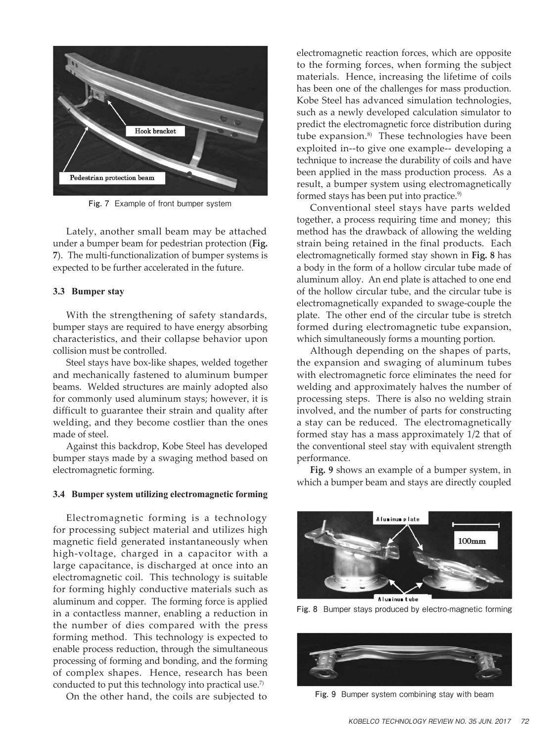

**Fig. 7** Example of front bumper system

Lately, another small beam may be attached under a bumper beam for pedestrian protection (**Fig. 7**). The multi-functionalization of bumper systems is expected to be further accelerated in the future.

### **3.3 Bumper stay**

With the strengthening of safety standards, bumper stays are required to have energy absorbing characteristics, and their collapse behavior upon collision must be controlled.

Steel stays have box-like shapes, welded together and mechanically fastened to aluminum bumper beams. Welded structures are mainly adopted also for commonly used aluminum stays; however, it is difficult to guarantee their strain and quality after welding, and they become costlier than the ones made of steel.

Against this backdrop, Kobe Steel has developed bumper stays made by a swaging method based on electromagnetic forming.

### **3.4 Bumper system utilizing electromagnetic forming**

Electromagnetic forming is a technology for processing subject material and utilizes high magnetic field generated instantaneously when high-voltage, charged in a capacitor with a large capacitance, is discharged at once into an electromagnetic coil. This technology is suitable for forming highly conductive materials such as aluminum and copper. The forming force is applied in a contactless manner, enabling a reduction in the number of dies compared with the press forming method. This technology is expected to enable process reduction, through the simultaneous processing of forming and bonding, and the forming of complex shapes. Hence, research has been conducted to put this technology into practical use. 7)

On the other hand, the coils are subjected to

electromagnetic reaction forces, which are opposite to the forming forces, when forming the subject materials. Hence, increasing the lifetime of coils has been one of the challenges for mass production. Kobe Steel has advanced simulation technologies, such as a newly developed calculation simulator to predict the electromagnetic force distribution during tube expansion. 8) These technologies have been exploited in--to give one example-- developing a technique to increase the durability of coils and have been applied in the mass production process. As a result, a bumper system using electromagnetically formed stays has been put into practice. 9)

Conventional steel stays have parts welded together, a process requiring time and money; this method has the drawback of allowing the welding strain being retained in the final products. Each electromagnetically formed stay shown in **Fig. 8** has a body in the form of a hollow circular tube made of aluminum alloy. An end plate is attached to one end of the hollow circular tube, and the circular tube is electromagnetically expanded to swage-couple the plate. The other end of the circular tube is stretch formed during electromagnetic tube expansion, which simultaneously forms a mounting portion.

Although depending on the shapes of parts, the expansion and swaging of aluminum tubes with electromagnetic force eliminates the need for welding and approximately halves the number of processing steps. There is also no welding strain involved, and the number of parts for constructing a stay can be reduced. The electromagnetically formed stay has a mass approximately 1/2 that of the conventional steel stay with equivalent strength performance.

**Fig. 9** shows an example of a bumper system, in which a bumper beam and stays are directly coupled



Fig. 8 Bumper stays produced by electro-magnetic forming



**Fig. 9** Bumper system combining stay with beam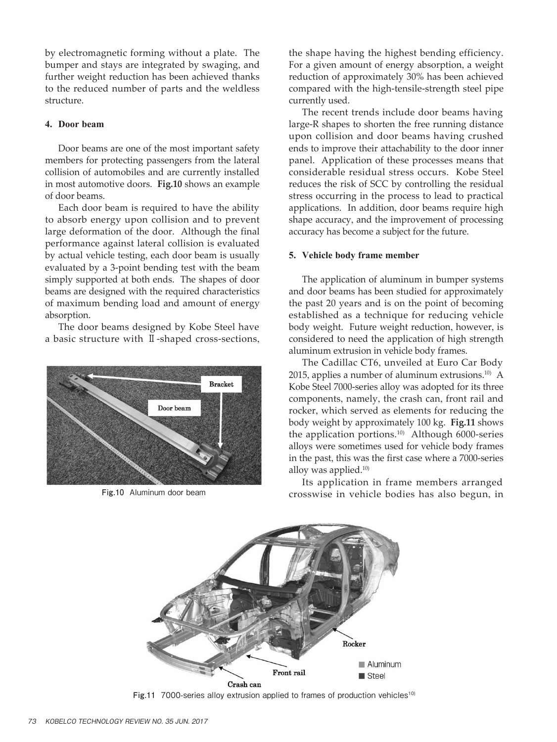by electromagnetic forming without a plate. The bumper and stays are integrated by swaging, and further weight reduction has been achieved thanks to the reduced number of parts and the weldless structure.

## **4. Door beam**

Door beams are one of the most important safety members for protecting passengers from the lateral collision of automobiles and are currently installed in most automotive doors. **Fig.10** shows an example of door beams.

Each door beam is required to have the ability to absorb energy upon collision and to prevent large deformation of the door. Although the final performance against lateral collision is evaluated by actual vehicle testing, each door beam is usually evaluated by a 3-point bending test with the beam simply supported at both ends. The shapes of door beams are designed with the required characteristics of maximum bending load and amount of energy absorption.

The door beams designed by Kobe Steel have a basic structure with Ⅱ-shaped cross-sections,



the shape having the highest bending efficiency. For a given amount of energy absorption, a weight reduction of approximately 30% has been achieved compared with the high-tensile-strength steel pipe currently used.

The recent trends include door beams having large-R shapes to shorten the free running distance upon collision and door beams having crushed ends to improve their attachability to the door inner panel. Application of these processes means that considerable residual stress occurs. Kobe Steel reduces the risk of SCC by controlling the residual stress occurring in the process to lead to practical applications. In addition, door beams require high shape accuracy, and the improvement of processing accuracy has become a subject for the future.

### **5. Vehicle body frame member**

The application of aluminum in bumper systems and door beams has been studied for approximately the past 20 years and is on the point of becoming established as a technique for reducing vehicle body weight. Future weight reduction, however, is considered to need the application of high strength aluminum extrusion in vehicle body frames.

The Cadillac CT6, unveiled at Euro Car Body 2015, applies a number of aluminum extrusions. 10) A Kobe Steel 7000-series alloy was adopted for its three components, namely, the crash can, front rail and rocker, which served as elements for reducing the body weight by approximately 100 kg. **Fig.11** shows the application portions. 10) Although 6000-series alloys were sometimes used for vehicle body frames in the past, this was the first case where a 7000-series alloy was applied. 10)

Its application in frame members arranged **Fig.10** Aluminum door beam crosswise in vehicle bodies has also begun, in



Fig.11 7000-series alloy extrusion applied to frames of production vehicles<sup>10)</sup>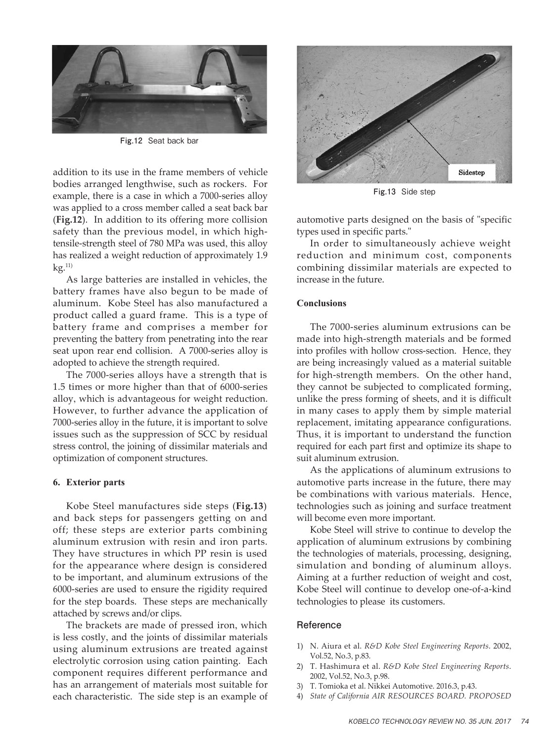

**Fig.12** Seat back bar

addition to its use in the frame members of vehicle bodies arranged lengthwise, such as rockers. For example, there is a case in which a 7000-series alloy was applied to a cross member called a seat back bar (**Fig.12**). In addition to its offering more collision safety than the previous model, in which hightensile-strength steel of 780 MPa was used, this alloy has realized a weight reduction of approximately 1.9 kg. 11)

As large batteries are installed in vehicles, the battery frames have also begun to be made of aluminum. Kobe Steel has also manufactured a product called a guard frame. This is a type of battery frame and comprises a member for preventing the battery from penetrating into the rear seat upon rear end collision. A 7000-series alloy is adopted to achieve the strength required.

The 7000-series alloys have a strength that is 1.5 times or more higher than that of 6000-series alloy, which is advantageous for weight reduction. However, to further advance the application of 7000-series alloy in the future, it is important to solve issues such as the suppression of SCC by residual stress control, the joining of dissimilar materials and optimization of component structures.

### **6. Exterior parts**

Kobe Steel manufactures side steps (**Fig.13**) and back steps for passengers getting on and off; these steps are exterior parts combining aluminum extrusion with resin and iron parts. They have structures in which PP resin is used for the appearance where design is considered to be important, and aluminum extrusions of the 6000-series are used to ensure the rigidity required for the step boards. These steps are mechanically attached by screws and/or clips.

The brackets are made of pressed iron, which is less costly, and the joints of dissimilar materials using aluminum extrusions are treated against electrolytic corrosion using cation painting. Each component requires different performance and has an arrangement of materials most suitable for each characteristic. The side step is an example of



**Fig.13** Side step

automotive parts designed on the basis of "specific types used in specific parts."

In order to simultaneously achieve weight reduction and minimum cost, components combining dissimilar materials are expected to increase in the future.

## **Conclusions**

The 7000-series aluminum extrusions can be made into high-strength materials and be formed into profiles with hollow cross-section. Hence, they are being increasingly valued as a material suitable for high-strength members. On the other hand, they cannot be subjected to complicated forming, unlike the press forming of sheets, and it is difficult in many cases to apply them by simple material replacement, imitating appearance configurations. Thus, it is important to understand the function required for each part first and optimize its shape to suit aluminum extrusion.

As the applications of aluminum extrusions to automotive parts increase in the future, there may be combinations with various materials. Hence, technologies such as joining and surface treatment will become even more important.

Kobe Steel will strive to continue to develop the application of aluminum extrusions by combining the technologies of materials, processing, designing, simulation and bonding of aluminum alloys. Aiming at a further reduction of weight and cost, Kobe Steel will continue to develop one-of-a-kind technologies to please its customers.

## **Reference**

- 1) N. Aiura et al. *R&D Kobe Steel Engineering Reports*. 2002, Vol.52, No.3, p.83.
- 2) T. Hashimura et al. *R&D Kobe Steel Engineering Reports*. 2002, Vol.52, No.3, p.98.
- 3) T. Tomioka et al. Nikkei Automotive. 2016.3, p.43.
- 4) *State of California AIR RESOURCES BOARD. PROPOSED*